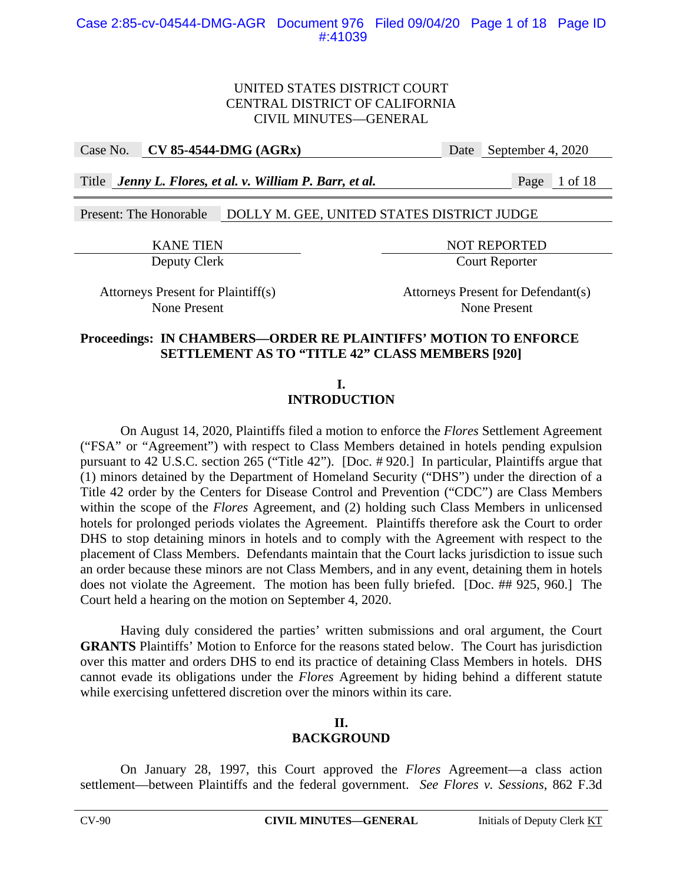Case No. **CV 85-4544-DMG (AGRx)** Date September 4, 2020

Title *Jenny L. Flores, et al. v. William P. Barr, et al.* Page 1 of 18

Present: The Honorable DOLLY M. GEE, UNITED STATES DISTRICT JUDGE

KANE TIEN NOT REPORTED Deputy Clerk Court Reporter

Attorneys Present for Plaintiff(s) Attorneys Present for Defendant(s) None Present None Present

### **Proceedings: IN CHAMBERS—ORDER RE PLAINTIFFS' MOTION TO ENFORCE SETTLEMENT AS TO "TITLE 42" CLASS MEMBERS [920]**

**I. INTRODUCTION** 

On August 14, 2020, Plaintiffs filed a motion to enforce the *Flores* Settlement Agreement ("FSA" or "Agreement") with respect to Class Members detained in hotels pending expulsion pursuant to 42 U.S.C. section 265 ("Title 42"). [Doc. # 920.] In particular, Plaintiffs argue that (1) minors detained by the Department of Homeland Security ("DHS") under the direction of a Title 42 order by the Centers for Disease Control and Prevention ("CDC") are Class Members within the scope of the *Flores* Agreement, and (2) holding such Class Members in unlicensed hotels for prolonged periods violates the Agreement. Plaintiffs therefore ask the Court to order DHS to stop detaining minors in hotels and to comply with the Agreement with respect to the placement of Class Members. Defendants maintain that the Court lacks jurisdiction to issue such an order because these minors are not Class Members, and in any event, detaining them in hotels does not violate the Agreement. The motion has been fully briefed. [Doc. ## 925, 960.] The Court held a hearing on the motion on September 4, 2020.

Having duly considered the parties' written submissions and oral argument, the Court **GRANTS** Plaintiffs' Motion to Enforce for the reasons stated below. The Court has jurisdiction over this matter and orders DHS to end its practice of detaining Class Members in hotels. DHS cannot evade its obligations under the *Flores* Agreement by hiding behind a different statute while exercising unfettered discretion over the minors within its care.

### **II. BACKGROUND**

On January 28, 1997, this Court approved the *Flores* Agreement—a class action settlement—between Plaintiffs and the federal government. *See Flores v. Sessions*, 862 F.3d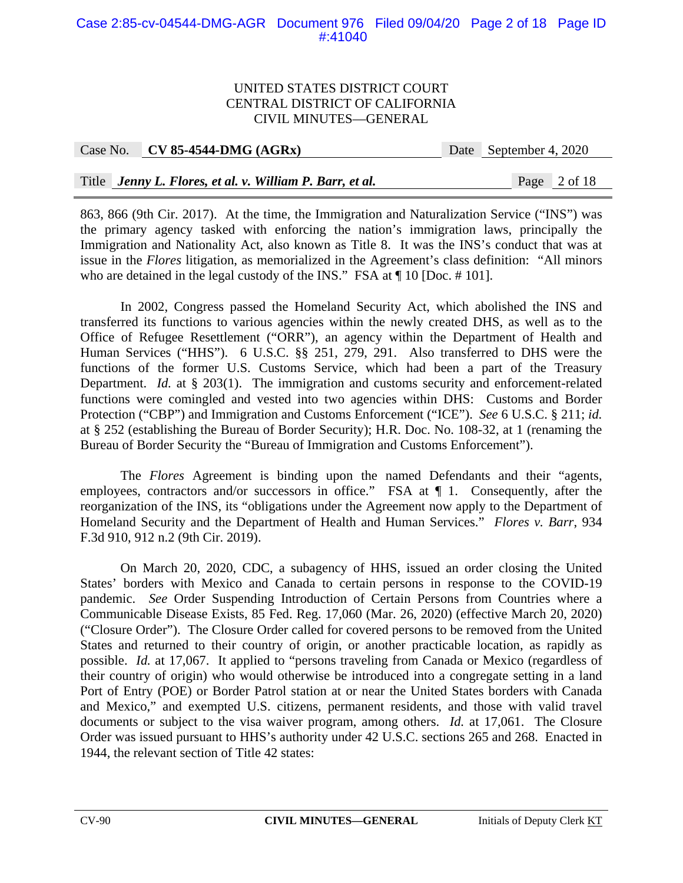### Case 2:85-cv-04544-DMG-AGR Document 976 Filed 09/04/20 Page 2 of 18 Page ID #:41040

#### UNITED STATES DISTRICT COURT CENTRAL DISTRICT OF CALIFORNIA CIVIL MINUTES—GENERAL

| Case No. $CV 85-4544-DMG (AGRx)$                         | Date September 4, 2020 |
|----------------------------------------------------------|------------------------|
|                                                          |                        |
| Title Jenny L. Flores, et al. v. William P. Barr, et al. | Page 2 of 18           |

863, 866 (9th Cir. 2017). At the time, the Immigration and Naturalization Service ("INS") was the primary agency tasked with enforcing the nation's immigration laws, principally the Immigration and Nationality Act, also known as Title 8. It was the INS's conduct that was at issue in the *Flores* litigation, as memorialized in the Agreement's class definition: "All minors who are detained in the legal custody of the INS." FSA at  $\P$  10 [Doc. # 101].

In 2002, Congress passed the Homeland Security Act, which abolished the INS and transferred its functions to various agencies within the newly created DHS, as well as to the Office of Refugee Resettlement ("ORR"), an agency within the Department of Health and Human Services ("HHS"). 6 U.S.C. §§ 251, 279, 291. Also transferred to DHS were the functions of the former U.S. Customs Service, which had been a part of the Treasury Department. *Id.* at § 203(1). The immigration and customs security and enforcement-related functions were comingled and vested into two agencies within DHS: Customs and Border Protection ("CBP") and Immigration and Customs Enforcement ("ICE"). *See* 6 U.S.C. § 211; *id.*  at § 252 (establishing the Bureau of Border Security); H.R. Doc. No. 108-32, at 1 (renaming the Bureau of Border Security the "Bureau of Immigration and Customs Enforcement").

The *Flores* Agreement is binding upon the named Defendants and their "agents, employees, contractors and/or successors in office." FSA at  $\P$  1. Consequently, after the reorganization of the INS, its "obligations under the Agreement now apply to the Department of Homeland Security and the Department of Health and Human Services." *Flores v. Barr*, 934 F.3d 910, 912 n.2 (9th Cir. 2019).

On March 20, 2020, CDC, a subagency of HHS, issued an order closing the United States' borders with Mexico and Canada to certain persons in response to the COVID-19 pandemic. *See* Order Suspending Introduction of Certain Persons from Countries where a Communicable Disease Exists, 85 Fed. Reg. 17,060 (Mar. 26, 2020) (effective March 20, 2020) ("Closure Order"). The Closure Order called for covered persons to be removed from the United States and returned to their country of origin, or another practicable location, as rapidly as possible. *Id.* at 17,067. It applied to "persons traveling from Canada or Mexico (regardless of their country of origin) who would otherwise be introduced into a congregate setting in a land Port of Entry (POE) or Border Patrol station at or near the United States borders with Canada and Mexico," and exempted U.S. citizens, permanent residents, and those with valid travel documents or subject to the visa waiver program, among others. *Id.* at 17,061. The Closure Order was issued pursuant to HHS's authority under 42 U.S.C. sections 265 and 268. Enacted in 1944, the relevant section of Title 42 states: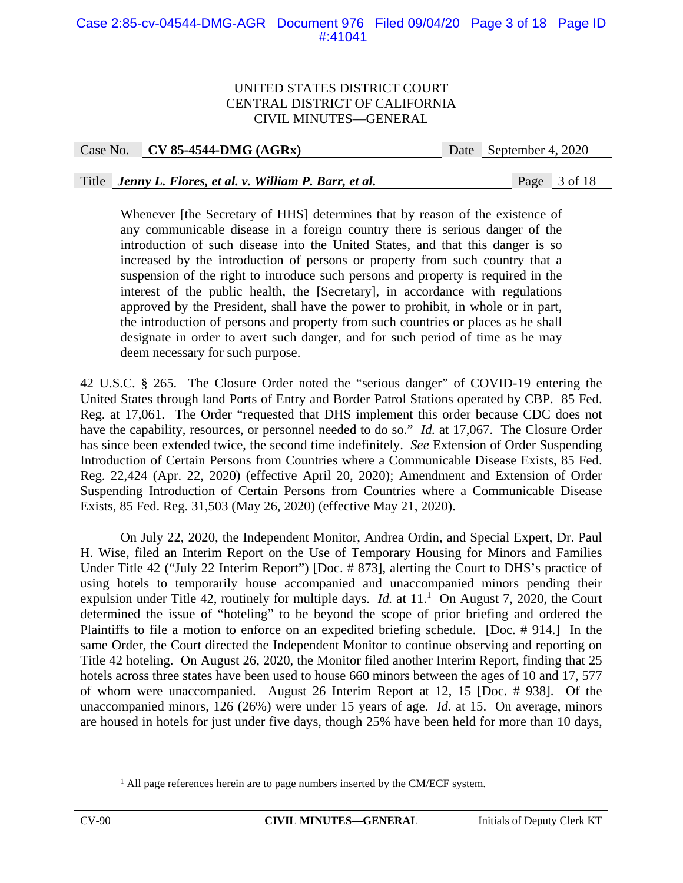### Case 2:85-cv-04544-DMG-AGR Document 976 Filed 09/04/20 Page 3 of 18 Page ID #:41041

#### UNITED STATES DISTRICT COURT CENTRAL DISTRICT OF CALIFORNIA CIVIL MINUTES—GENERAL

Case No. **CV 85-4544-DMG (AGRx)** Date September 4, 2020

### Title *Jenny L. Flores, et al. v. William P. Barr, et al.* Page 3 of 18

Whenever [the Secretary of HHS] determines that by reason of the existence of any communicable disease in a foreign country there is serious danger of the introduction of such disease into the United States, and that this danger is so increased by the introduction of persons or property from such country that a suspension of the right to introduce such persons and property is required in the interest of the public health, the [Secretary], in accordance with regulations approved by the President, shall have the power to prohibit, in whole or in part, the introduction of persons and property from such countries or places as he shall designate in order to avert such danger, and for such period of time as he may deem necessary for such purpose.

42 U.S.C. § 265. The Closure Order noted the "serious danger" of COVID-19 entering the United States through land Ports of Entry and Border Patrol Stations operated by CBP. 85 Fed. Reg. at 17,061. The Order "requested that DHS implement this order because CDC does not have the capability, resources, or personnel needed to do so." *Id.* at 17,067. The Closure Order has since been extended twice, the second time indefinitely. *See* Extension of Order Suspending Introduction of Certain Persons from Countries where a Communicable Disease Exists, 85 Fed. Reg. 22,424 (Apr. 22, 2020) (effective April 20, 2020); Amendment and Extension of Order Suspending Introduction of Certain Persons from Countries where a Communicable Disease Exists, 85 Fed. Reg. 31,503 (May 26, 2020) (effective May 21, 2020).

 On July 22, 2020, the Independent Monitor, Andrea Ordin, and Special Expert, Dr. Paul H. Wise, filed an Interim Report on the Use of Temporary Housing for Minors and Families Under Title 42 ("July 22 Interim Report") [Doc. # 873], alerting the Court to DHS's practice of using hotels to temporarily house accompanied and unaccompanied minors pending their expulsion under Title 42, routinely for multiple days. *Id.* at  $11<sup>1</sup>$  On August 7, 2020, the Court determined the issue of "hoteling" to be beyond the scope of prior briefing and ordered the Plaintiffs to file a motion to enforce on an expedited briefing schedule. [Doc. # 914.] In the same Order, the Court directed the Independent Monitor to continue observing and reporting on Title 42 hoteling. On August 26, 2020, the Monitor filed another Interim Report, finding that 25 hotels across three states have been used to house 660 minors between the ages of 10 and 17, 577 of whom were unaccompanied. August 26 Interim Report at 12, 15 [Doc. # 938]. Of the unaccompanied minors, 126 (26%) were under 15 years of age. *Id.* at 15. On average, minors are housed in hotels for just under five days, though 25% have been held for more than 10 days,

<sup>&</sup>lt;u>1</u> <sup>1</sup> All page references herein are to page numbers inserted by the CM/ECF system.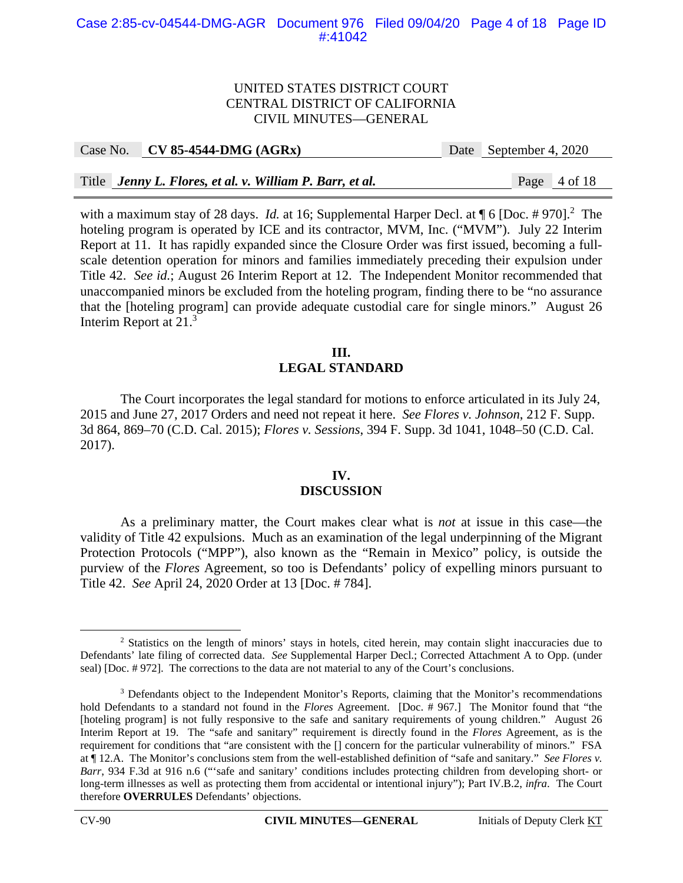#### Case 2:85-cv-04544-DMG-AGR Document 976 Filed 09/04/20 Page 4 of 18 Page ID #:41042

#### UNITED STATES DISTRICT COURT CENTRAL DISTRICT OF CALIFORNIA CIVIL MINUTES—GENERAL

|  | Case No. CV 85-4544-DMG $(AGRx)$                         | Date September 4, 2020 |
|--|----------------------------------------------------------|------------------------|
|  |                                                          |                        |
|  | Title Jenny L. Flores, et al. v. William P. Barr, et al. | Page 4 of 18           |

with a maximum stay of 28 days. *Id.* at 16; Supplemental Harper Decl. at  $\P$  6 [Doc. # 970].<sup>2</sup> The hoteling program is operated by ICE and its contractor, MVM, Inc. ("MVM"). July 22 Interim Report at 11. It has rapidly expanded since the Closure Order was first issued, becoming a fullscale detention operation for minors and families immediately preceding their expulsion under Title 42. *See id.*; August 26 Interim Report at 12. The Independent Monitor recommended that unaccompanied minors be excluded from the hoteling program, finding there to be "no assurance that the [hoteling program] can provide adequate custodial care for single minors." August 26 Interim Report at 21.3

# **III. LEGAL STANDARD**

The Court incorporates the legal standard for motions to enforce articulated in its July 24, 2015 and June 27, 2017 Orders and need not repeat it here. *See Flores v. Johnson*, 212 F. Supp. 3d 864, 869–70 (C.D. Cal. 2015); *Flores v. Sessions*, 394 F. Supp. 3d 1041, 1048–50 (C.D. Cal. 2017).

# **IV.**

#### **DISCUSSION**

 As a preliminary matter, the Court makes clear what is *not* at issue in this case—the validity of Title 42 expulsions. Much as an examination of the legal underpinning of the Migrant Protection Protocols ("MPP"), also known as the "Remain in Mexico" policy, is outside the purview of the *Flores* Agreement, so too is Defendants' policy of expelling minors pursuant to Title 42. *See* April 24, 2020 Order at 13 [Doc. # 784].

 $\frac{1}{2}$ <sup>2</sup> Statistics on the length of minors' stays in hotels, cited herein, may contain slight inaccuracies due to Defendants' late filing of corrected data. *See* Supplemental Harper Decl.; Corrected Attachment A to Opp. (under seal) [Doc. # 972]. The corrections to the data are not material to any of the Court's conclusions.

<sup>&</sup>lt;sup>3</sup> Defendants object to the Independent Monitor's Reports, claiming that the Monitor's recommendations hold Defendants to a standard not found in the *Flores* Agreement. [Doc. # 967.] The Monitor found that "the [hoteling program] is not fully responsive to the safe and sanitary requirements of young children." August 26 Interim Report at 19. The "safe and sanitary" requirement is directly found in the *Flores* Agreement, as is the requirement for conditions that "are consistent with the [] concern for the particular vulnerability of minors." FSA at ¶ 12.A. The Monitor's conclusions stem from the well-established definition of "safe and sanitary." *See Flores v. Barr*, 934 F.3d at 916 n.6 ("'safe and sanitary' conditions includes protecting children from developing short- or long-term illnesses as well as protecting them from accidental or intentional injury"); Part IV.B.2, *infra*. The Court therefore **OVERRULES** Defendants' objections.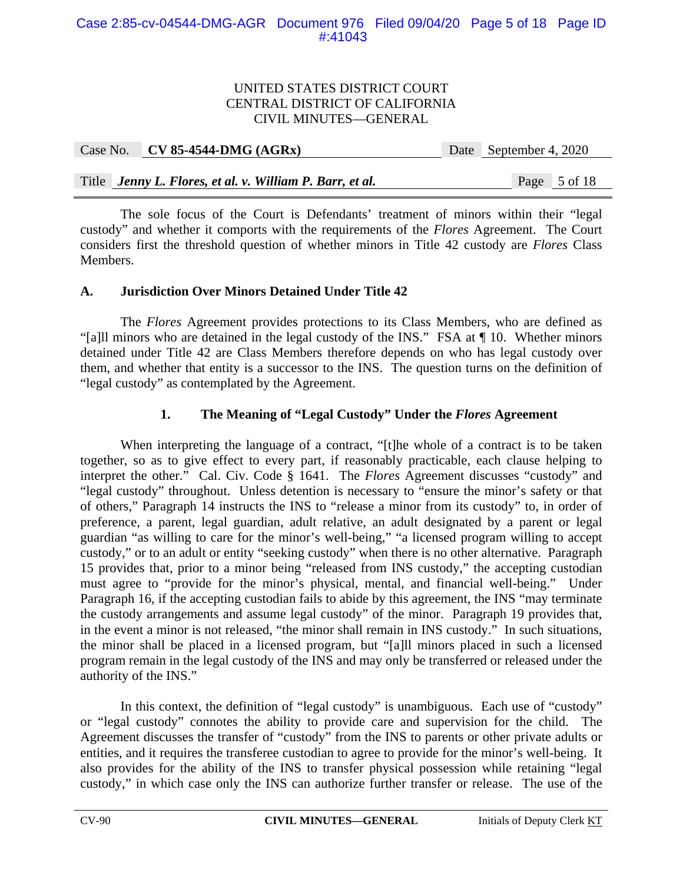|  | Case No. CV 85-4544-DMG $(AGRx)$                         | Date September 4, 2020 |  |
|--|----------------------------------------------------------|------------------------|--|
|  |                                                          |                        |  |
|  | Title Jenny L. Flores, et al. v. William P. Barr, et al. | Page 5 of 18           |  |

The sole focus of the Court is Defendants' treatment of minors within their "legal custody" and whether it comports with the requirements of the *Flores* Agreement. The Court considers first the threshold question of whether minors in Title 42 custody are *Flores* Class Members.

# **A. Jurisdiction Over Minors Detained Under Title 42**

The *Flores* Agreement provides protections to its Class Members, who are defined as "[a]ll minors who are detained in the legal custody of the INS." FSA at ¶ 10. Whether minors detained under Title 42 are Class Members therefore depends on who has legal custody over them, and whether that entity is a successor to the INS. The question turns on the definition of "legal custody" as contemplated by the Agreement.

# **1. The Meaning of "Legal Custody" Under the** *Flores* **Agreement**

When interpreting the language of a contract, "[t]he whole of a contract is to be taken together, so as to give effect to every part, if reasonably practicable, each clause helping to interpret the other." Cal. Civ. Code § 1641. The *Flores* Agreement discusses "custody" and "legal custody" throughout. Unless detention is necessary to "ensure the minor's safety or that of others," Paragraph 14 instructs the INS to "release a minor from its custody" to, in order of preference, a parent, legal guardian, adult relative, an adult designated by a parent or legal guardian "as willing to care for the minor's well-being," "a licensed program willing to accept custody," or to an adult or entity "seeking custody" when there is no other alternative. Paragraph 15 provides that, prior to a minor being "released from INS custody," the accepting custodian must agree to "provide for the minor's physical, mental, and financial well-being." Under Paragraph 16, if the accepting custodian fails to abide by this agreement, the INS "may terminate the custody arrangements and assume legal custody" of the minor. Paragraph 19 provides that, in the event a minor is not released, "the minor shall remain in INS custody." In such situations, the minor shall be placed in a licensed program, but "[a]ll minors placed in such a licensed program remain in the legal custody of the INS and may only be transferred or released under the authority of the INS."

In this context, the definition of "legal custody" is unambiguous. Each use of "custody" or "legal custody" connotes the ability to provide care and supervision for the child. The Agreement discusses the transfer of "custody" from the INS to parents or other private adults or entities, and it requires the transferee custodian to agree to provide for the minor's well-being. It also provides for the ability of the INS to transfer physical possession while retaining "legal custody," in which case only the INS can authorize further transfer or release. The use of the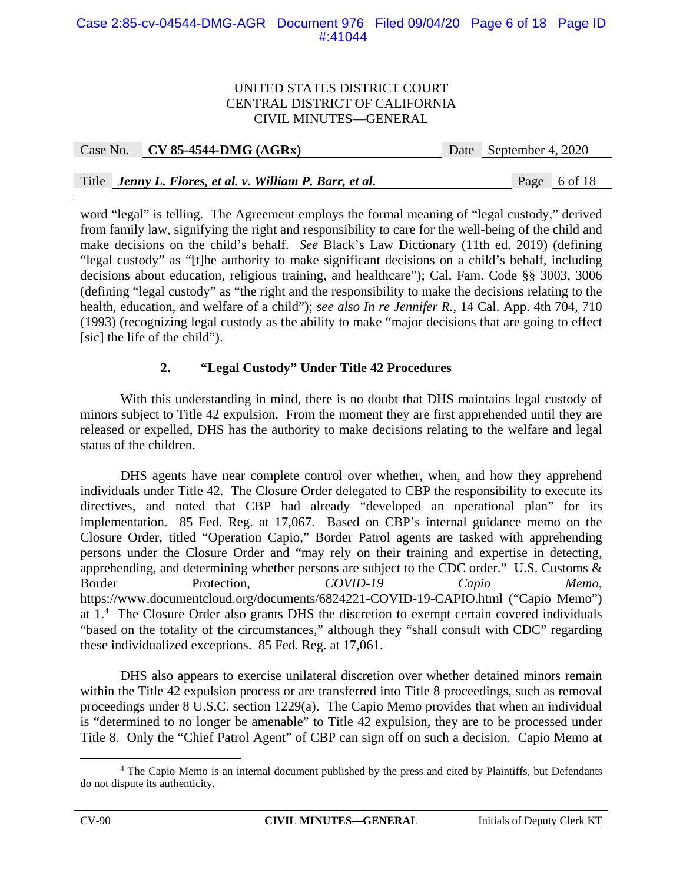### Case 2:85-cv-04544-DMG-AGR Document 976 Filed 09/04/20 Page 6 of 18 Page ID #:41044

#### UNITED STATES DISTRICT COURT CENTRAL DISTRICT OF CALIFORNIA CIVIL MINUTES—GENERAL

| Case No. CV 85-4544-DMG $(AGRx)$                         | Date September 4, 2020 |
|----------------------------------------------------------|------------------------|
|                                                          |                        |
| Title Jenny L. Flores, et al. v. William P. Barr, et al. | Page 6 of 18           |

word "legal" is telling. The Agreement employs the formal meaning of "legal custody," derived from family law, signifying the right and responsibility to care for the well-being of the child and make decisions on the child's behalf. *See* Black's Law Dictionary (11th ed. 2019) (defining "legal custody" as "[t]he authority to make significant decisions on a child's behalf, including decisions about education, religious training, and healthcare"); Cal. Fam. Code §§ 3003, 3006 (defining "legal custody" as "the right and the responsibility to make the decisions relating to the health, education, and welfare of a child"); *see also In re Jennifer R.*, 14 Cal. App. 4th 704, 710 (1993) (recognizing legal custody as the ability to make "major decisions that are going to effect [sic] the life of the child").

# **2. "Legal Custody" Under Title 42 Procedures**

With this understanding in mind, there is no doubt that DHS maintains legal custody of minors subject to Title 42 expulsion. From the moment they are first apprehended until they are released or expelled, DHS has the authority to make decisions relating to the welfare and legal status of the children.

DHS agents have near complete control over whether, when, and how they apprehend individuals under Title 42. The Closure Order delegated to CBP the responsibility to execute its directives, and noted that CBP had already "developed an operational plan" for its implementation. 85 Fed. Reg. at 17,067. Based on CBP's internal guidance memo on the Closure Order, titled "Operation Capio," Border Patrol agents are tasked with apprehending persons under the Closure Order and "may rely on their training and expertise in detecting, apprehending, and determining whether persons are subject to the CDC order." U.S. Customs & Border Protection, *COVID-19 Capio Memo*, https://www.documentcloud.org/documents/6824221-COVID-19-CAPIO.html ("Capio Memo") at  $1<sup>4</sup>$ . The Closure Order also grants DHS the discretion to exempt certain covered individuals "based on the totality of the circumstances," although they "shall consult with CDC" regarding these individualized exceptions. 85 Fed. Reg. at 17,061.

DHS also appears to exercise unilateral discretion over whether detained minors remain within the Title 42 expulsion process or are transferred into Title 8 proceedings, such as removal proceedings under 8 U.S.C. section 1229(a). The Capio Memo provides that when an individual is "determined to no longer be amenable" to Title 42 expulsion, they are to be processed under Title 8. Only the "Chief Patrol Agent" of CBP can sign off on such a decision. Capio Memo at

 $\overline{a}$  The Capio Memo is an internal document published by the press and cited by Plaintiffs, but Defendants do not dispute its authenticity.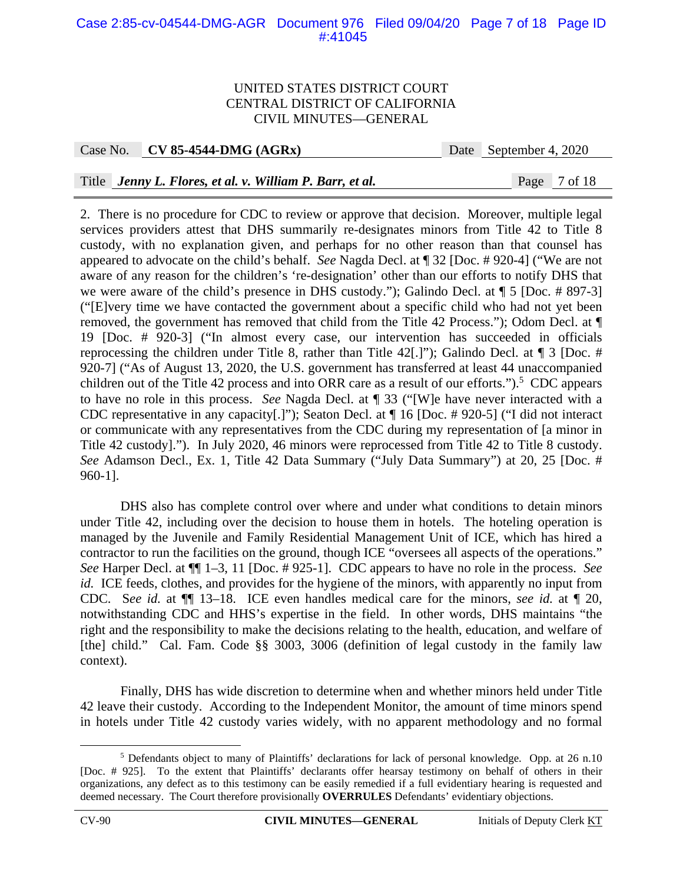### Case 2:85-cv-04544-DMG-AGR Document 976 Filed 09/04/20 Page 7 of 18 Page ID #:41045

#### UNITED STATES DISTRICT COURT CENTRAL DISTRICT OF CALIFORNIA CIVIL MINUTES—GENERAL

Case No. **CV 85-4544-DMG (AGRx)** Date September 4, 2020

### Title *Jenny L. Flores, et al. v. William P. Barr, et al.* Page 7 of 18

2. There is no procedure for CDC to review or approve that decision. Moreover, multiple legal services providers attest that DHS summarily re-designates minors from Title 42 to Title 8 custody, with no explanation given, and perhaps for no other reason than that counsel has appeared to advocate on the child's behalf. *See* Nagda Decl. at ¶ 32 [Doc. # 920-4] ("We are not aware of any reason for the children's 're-designation' other than our efforts to notify DHS that we were aware of the child's presence in DHS custody."); Galindo Decl. at ¶ 5 [Doc. # 897-3] ("[E]very time we have contacted the government about a specific child who had not yet been removed, the government has removed that child from the Title 42 Process."); Odom Decl. at ¶ 19 [Doc. # 920-3] ("In almost every case, our intervention has succeeded in officials reprocessing the children under Title 8, rather than Title 42[.]"); Galindo Decl. at ¶ 3 [Doc. # 920-7] ("As of August 13, 2020, the U.S. government has transferred at least 44 unaccompanied children out of the Title 42 process and into ORR care as a result of our efforts." $)$ .<sup>5</sup> CDC appears to have no role in this process. *See* Nagda Decl. at ¶ 33 ("[W]e have never interacted with a CDC representative in any capacity[.]"); Seaton Decl. at ¶ 16 [Doc. # 920-5] ("I did not interact or communicate with any representatives from the CDC during my representation of [a minor in Title 42 custody]."). In July 2020, 46 minors were reprocessed from Title 42 to Title 8 custody. *See* Adamson Decl., Ex. 1, Title 42 Data Summary ("July Data Summary") at 20, 25 [Doc. # 960-1].

DHS also has complete control over where and under what conditions to detain minors under Title 42, including over the decision to house them in hotels. The hoteling operation is managed by the Juvenile and Family Residential Management Unit of ICE, which has hired a contractor to run the facilities on the ground, though ICE "oversees all aspects of the operations." *See* Harper Decl. at ¶¶ 1–3, 11 [Doc. # 925-1]. CDC appears to have no role in the process. *See id.* ICE feeds, clothes, and provides for the hygiene of the minors, with apparently no input from CDC. S*ee id.* at ¶¶ 13–18. ICE even handles medical care for the minors, *see id.* at ¶ 20, notwithstanding CDC and HHS's expertise in the field. In other words, DHS maintains "the right and the responsibility to make the decisions relating to the health, education, and welfare of [the] child." Cal. Fam. Code §§ 3003, 3006 (definition of legal custody in the family law context).

Finally, DHS has wide discretion to determine when and whether minors held under Title 42 leave their custody. According to the Independent Monitor, the amount of time minors spend in hotels under Title 42 custody varies widely, with no apparent methodology and no formal

 $rac{1}{5}$ <sup>5</sup> Defendants object to many of Plaintiffs' declarations for lack of personal knowledge. Opp. at 26 n.10 [Doc. # 925]. To the extent that Plaintiffs' declarants offer hearsay testimony on behalf of others in their organizations, any defect as to this testimony can be easily remedied if a full evidentiary hearing is requested and deemed necessary. The Court therefore provisionally **OVERRULES** Defendants' evidentiary objections.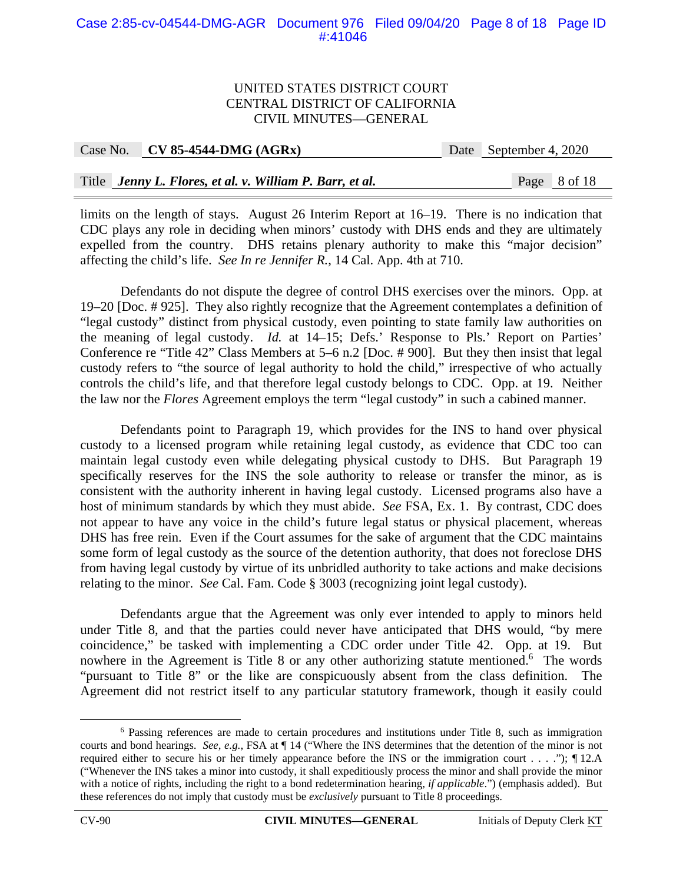### Case 2:85-cv-04544-DMG-AGR Document 976 Filed 09/04/20 Page 8 of 18 Page ID #:41046

#### UNITED STATES DISTRICT COURT CENTRAL DISTRICT OF CALIFORNIA CIVIL MINUTES—GENERAL

| Case No. $\vert$ CV 85-4544-DMG (AGRx)                   | Date September 4, 2020 |
|----------------------------------------------------------|------------------------|
|                                                          |                        |
| Title Jenny L. Flores, et al. v. William P. Barr, et al. | Page 8 of 18           |

limits on the length of stays. August 26 Interim Report at 16–19. There is no indication that CDC plays any role in deciding when minors' custody with DHS ends and they are ultimately expelled from the country. DHS retains plenary authority to make this "major decision" affecting the child's life. *See In re Jennifer R.*, 14 Cal. App. 4th at 710.

Defendants do not dispute the degree of control DHS exercises over the minors. Opp. at 19–20 [Doc. # 925]. They also rightly recognize that the Agreement contemplates a definition of "legal custody" distinct from physical custody, even pointing to state family law authorities on the meaning of legal custody. *Id.* at 14–15; Defs.' Response to Pls.' Report on Parties' Conference re "Title 42" Class Members at 5–6 n.2 [Doc. # 900]. But they then insist that legal custody refers to "the source of legal authority to hold the child," irrespective of who actually controls the child's life, and that therefore legal custody belongs to CDC. Opp. at 19. Neither the law nor the *Flores* Agreement employs the term "legal custody" in such a cabined manner.

Defendants point to Paragraph 19, which provides for the INS to hand over physical custody to a licensed program while retaining legal custody, as evidence that CDC too can maintain legal custody even while delegating physical custody to DHS. But Paragraph 19 specifically reserves for the INS the sole authority to release or transfer the minor, as is consistent with the authority inherent in having legal custody. Licensed programs also have a host of minimum standards by which they must abide. *See* FSA, Ex. 1. By contrast, CDC does not appear to have any voice in the child's future legal status or physical placement, whereas DHS has free rein. Even if the Court assumes for the sake of argument that the CDC maintains some form of legal custody as the source of the detention authority, that does not foreclose DHS from having legal custody by virtue of its unbridled authority to take actions and make decisions relating to the minor. *See* Cal. Fam. Code § 3003 (recognizing joint legal custody).

Defendants argue that the Agreement was only ever intended to apply to minors held under Title 8, and that the parties could never have anticipated that DHS would, "by mere coincidence," be tasked with implementing a CDC order under Title 42. Opp. at 19.But nowhere in the Agreement is Title 8 or any other authorizing statute mentioned.<sup>6</sup> The words "pursuant to Title 8" or the like are conspicuously absent from the class definition. The Agreement did not restrict itself to any particular statutory framework, though it easily could

 <sup>6</sup> Passing references are made to certain procedures and institutions under Title 8, such as immigration courts and bond hearings. *See, e.g.*, FSA at ¶ 14 ("Where the INS determines that the detention of the minor is not required either to secure his or her timely appearance before the INS or the immigration court . . . ."); ¶ 12.A ("Whenever the INS takes a minor into custody, it shall expeditiously process the minor and shall provide the minor with a notice of rights, including the right to a bond redetermination hearing, *if applicable*.") (emphasis added). But these references do not imply that custody must be *exclusively* pursuant to Title 8 proceedings.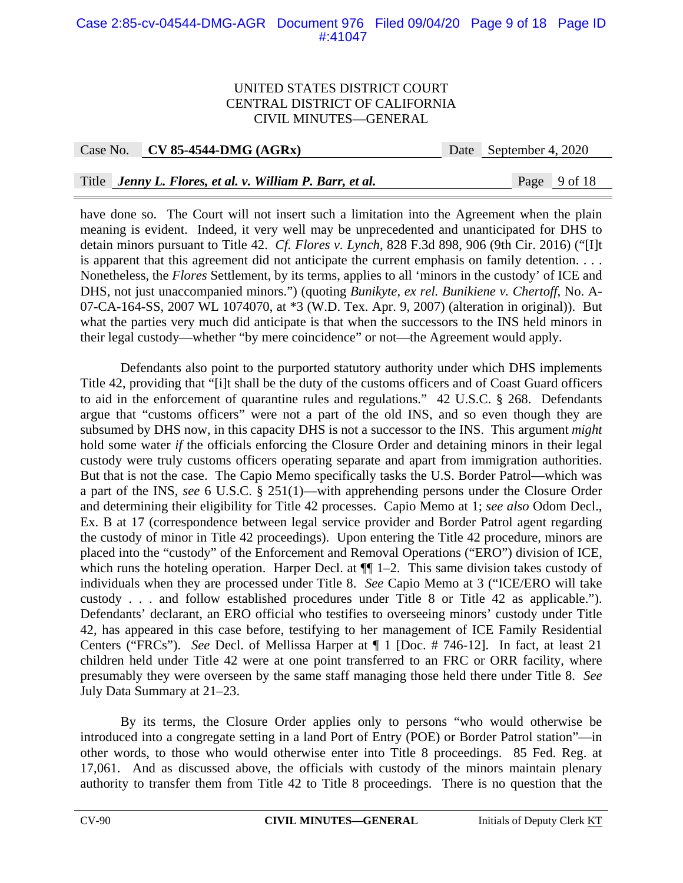### Case 2:85-cv-04544-DMG-AGR Document 976 Filed 09/04/20 Page 9 of 18 Page ID #:41047

#### UNITED STATES DISTRICT COURT CENTRAL DISTRICT OF CALIFORNIA CIVIL MINUTES—GENERAL

Case No. **CV 85-4544-DMG (AGRx)** Date September 4, 2020

### Title *Jenny L. Flores, et al. v. William P. Barr, et al.* Page 9 of 18

have done so. The Court will not insert such a limitation into the Agreement when the plain meaning is evident. Indeed, it very well may be unprecedented and unanticipated for DHS to detain minors pursuant to Title 42. *Cf. Flores v. Lynch*, 828 F.3d 898, 906 (9th Cir. 2016) ("[I]t is apparent that this agreement did not anticipate the current emphasis on family detention. . . . Nonetheless, the *Flores* Settlement, by its terms, applies to all 'minors in the custody' of ICE and DHS, not just unaccompanied minors.") (quoting *Bunikyte, ex rel. Bunikiene v. Chertoff*, No. A-07-CA-164-SS, 2007 WL 1074070, at \*3 (W.D. Tex. Apr. 9, 2007) (alteration in original)). But what the parties very much did anticipate is that when the successors to the INS held minors in their legal custody—whether "by mere coincidence" or not—the Agreement would apply.

Defendants also point to the purported statutory authority under which DHS implements Title 42, providing that "[i]t shall be the duty of the customs officers and of Coast Guard officers to aid in the enforcement of quarantine rules and regulations." 42 U.S.C. § 268. Defendants argue that "customs officers" were not a part of the old INS, and so even though they are subsumed by DHS now, in this capacity DHS is not a successor to the INS. This argument *might*  hold some water *if* the officials enforcing the Closure Order and detaining minors in their legal custody were truly customs officers operating separate and apart from immigration authorities. But that is not the case. The Capio Memo specifically tasks the U.S. Border Patrol—which was a part of the INS, *see* 6 U.S.C. § 251(1)—with apprehending persons under the Closure Order and determining their eligibility for Title 42 processes. Capio Memo at 1; *see also* Odom Decl., Ex. B at 17 (correspondence between legal service provider and Border Patrol agent regarding the custody of minor in Title 42 proceedings). Upon entering the Title 42 procedure, minors are placed into the "custody" of the Enforcement and Removal Operations ("ERO") division of ICE, which runs the hoteling operation. Harper Decl. at  $\P$  1–2. This same division takes custody of individuals when they are processed under Title 8. *See* Capio Memo at 3 ("ICE/ERO will take custody . . . and follow established procedures under Title 8 or Title 42 as applicable."). Defendants' declarant, an ERO official who testifies to overseeing minors' custody under Title 42, has appeared in this case before, testifying to her management of ICE Family Residential Centers ("FRCs"). *See* Decl. of Mellissa Harper at ¶ 1 [Doc. # 746-12]. In fact, at least 21 children held under Title 42 were at one point transferred to an FRC or ORR facility, where presumably they were overseen by the same staff managing those held there under Title 8. *See*  July Data Summary at 21–23.

By its terms, the Closure Order applies only to persons "who would otherwise be introduced into a congregate setting in a land Port of Entry (POE) or Border Patrol station"—in other words, to those who would otherwise enter into Title 8 proceedings. 85 Fed. Reg. at 17,061. And as discussed above, the officials with custody of the minors maintain plenary authority to transfer them from Title 42 to Title 8 proceedings. There is no question that the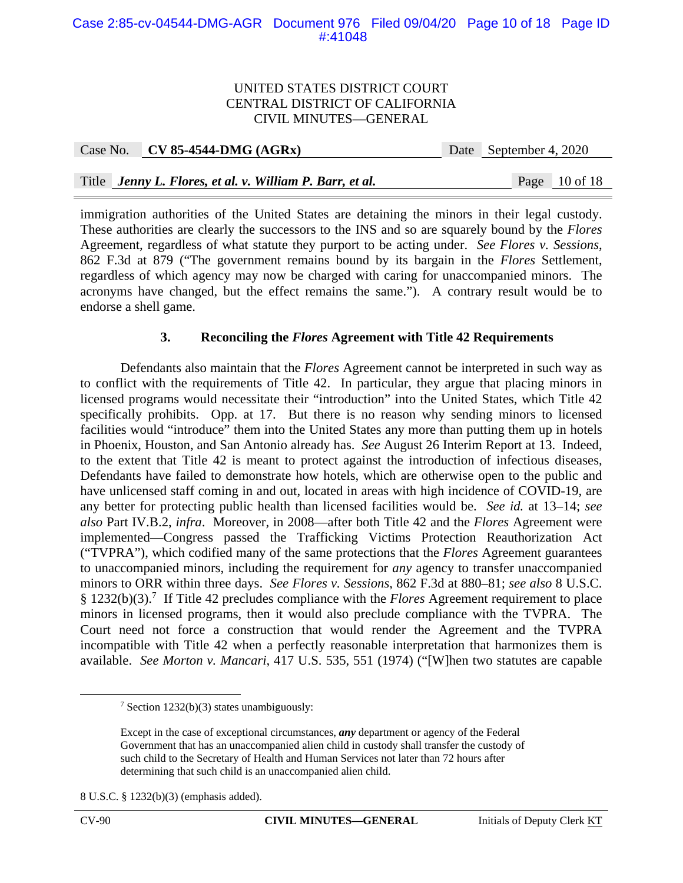### Case 2:85-cv-04544-DMG-AGR Document 976 Filed 09/04/20 Page 10 of 18 Page ID #:41048

#### UNITED STATES DISTRICT COURT CENTRAL DISTRICT OF CALIFORNIA CIVIL MINUTES—GENERAL

| Case No. CV 85-4544-DMG $(AGRx)$                         | Date September 4, 2020 |                 |
|----------------------------------------------------------|------------------------|-----------------|
|                                                          |                        |                 |
| Title Jenny L. Flores, et al. v. William P. Barr, et al. |                        | Page $10$ of 18 |

immigration authorities of the United States are detaining the minors in their legal custody. These authorities are clearly the successors to the INS and so are squarely bound by the *Flores*  Agreement, regardless of what statute they purport to be acting under. *See Flores v. Sessions*, 862 F.3d at 879 ("The government remains bound by its bargain in the *Flores* Settlement, regardless of which agency may now be charged with caring for unaccompanied minors. The acronyms have changed, but the effect remains the same."). A contrary result would be to endorse a shell game.

### **3. Reconciling the** *Flores* **Agreement with Title 42 Requirements**

Defendants also maintain that the *Flores* Agreement cannot be interpreted in such way as to conflict with the requirements of Title 42. In particular, they argue that placing minors in licensed programs would necessitate their "introduction" into the United States, which Title 42 specifically prohibits. Opp. at 17. But there is no reason why sending minors to licensed facilities would "introduce" them into the United States any more than putting them up in hotels in Phoenix, Houston, and San Antonio already has. *See* August 26 Interim Report at 13. Indeed, to the extent that Title 42 is meant to protect against the introduction of infectious diseases, Defendants have failed to demonstrate how hotels, which are otherwise open to the public and have unlicensed staff coming in and out, located in areas with high incidence of COVID-19, are any better for protecting public health than licensed facilities would be. *See id.* at 13–14; *see also* Part IV.B.2, *infra*. Moreover, in 2008—after both Title 42 and the *Flores* Agreement were implemented—Congress passed the Trafficking Victims Protection Reauthorization Act ("TVPRA"), which codified many of the same protections that the *Flores* Agreement guarantees to unaccompanied minors, including the requirement for *any* agency to transfer unaccompanied minors to ORR within three days. *See Flores v. Sessions*, 862 F.3d at 880–81; *see also* 8 U.S.C. § 1232(b)(3).<sup>7</sup> If Title 42 precludes compliance with the *Flores* Agreement requirement to place minors in licensed programs, then it would also preclude compliance with the TVPRA. The Court need not force a construction that would render the Agreement and the TVPRA incompatible with Title 42 when a perfectly reasonable interpretation that harmonizes them is available. *See Morton v. Mancari*, 417 U.S. 535, 551 (1974) ("[W]hen two statutes are capable

 $\frac{1}{7}$ <sup>7</sup> Section 1232(b)(3) states unambiguously:

Except in the case of exceptional circumstances, *any* department or agency of the Federal Government that has an unaccompanied alien child in custody shall transfer the custody of such child to the Secretary of Health and Human Services not later than 72 hours after determining that such child is an unaccompanied alien child.

<sup>8</sup> U.S.C. § 1232(b)(3) (emphasis added).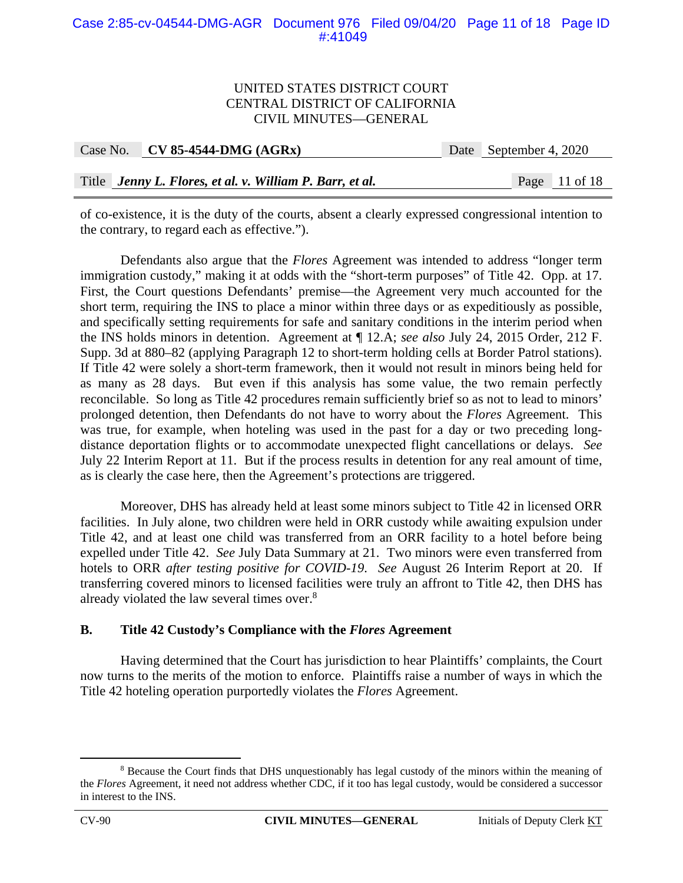### Case 2:85-cv-04544-DMG-AGR Document 976 Filed 09/04/20 Page 11 of 18 Page ID #:41049

#### UNITED STATES DISTRICT COURT CENTRAL DISTRICT OF CALIFORNIA CIVIL MINUTES—GENERAL

| Case No. $\vert$ CV 85-4544-DMG (AGRx)                   | Date September 4, 2020 |                 |  |
|----------------------------------------------------------|------------------------|-----------------|--|
|                                                          |                        |                 |  |
| Title Jenny L. Flores, et al. v. William P. Barr, et al. |                        | Page $11$ of 18 |  |

of co-existence, it is the duty of the courts, absent a clearly expressed congressional intention to the contrary, to regard each as effective.").

Defendants also argue that the *Flores* Agreement was intended to address "longer term immigration custody," making it at odds with the "short-term purposes" of Title 42. Opp. at 17. First, the Court questions Defendants' premise—the Agreement very much accounted for the short term, requiring the INS to place a minor within three days or as expeditiously as possible, and specifically setting requirements for safe and sanitary conditions in the interim period when the INS holds minors in detention. Agreement at ¶ 12.A; *see also* July 24, 2015 Order, 212 F. Supp. 3d at 880–82 (applying Paragraph 12 to short-term holding cells at Border Patrol stations). If Title 42 were solely a short-term framework, then it would not result in minors being held for as many as 28 days. But even if this analysis has some value, the two remain perfectly reconcilable. So long as Title 42 procedures remain sufficiently brief so as not to lead to minors' prolonged detention, then Defendants do not have to worry about the *Flores* Agreement. This was true, for example, when hoteling was used in the past for a day or two preceding longdistance deportation flights or to accommodate unexpected flight cancellations or delays. *See*  July 22 Interim Report at 11. But if the process results in detention for any real amount of time, as is clearly the case here, then the Agreement's protections are triggered.

Moreover, DHS has already held at least some minors subject to Title 42 in licensed ORR facilities. In July alone, two children were held in ORR custody while awaiting expulsion under Title 42, and at least one child was transferred from an ORR facility to a hotel before being expelled under Title 42. *See* July Data Summary at 21. Two minors were even transferred from hotels to ORR *after testing positive for COVID-19*. *See* August 26 Interim Report at 20. If transferring covered minors to licensed facilities were truly an affront to Title 42, then DHS has already violated the law several times over.<sup>8</sup>

#### **B. Title 42 Custody's Compliance with the** *Flores* **Agreement**

Having determined that the Court has jurisdiction to hear Plaintiffs' complaints, the Court now turns to the merits of the motion to enforce. Plaintiffs raise a number of ways in which the Title 42 hoteling operation purportedly violates the *Flores* Agreement.

 $\frac{1}{8}$ <sup>8</sup> Because the Court finds that DHS unquestionably has legal custody of the minors within the meaning of the *Flores* Agreement, it need not address whether CDC, if it too has legal custody, would be considered a successor in interest to the INS.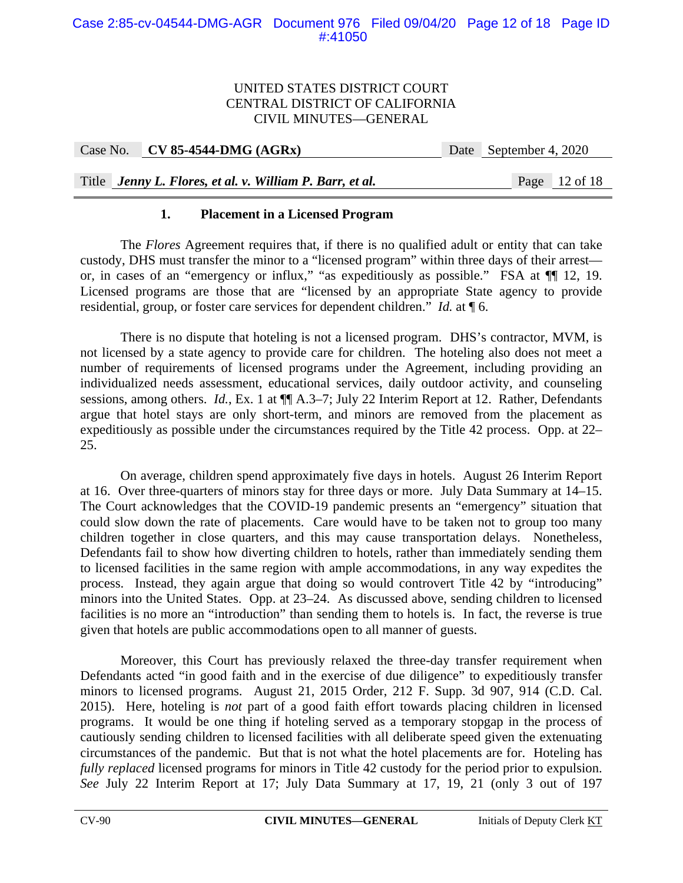| Case No. CV 85-4544-DMG $(AGRx)$                         | Date September 4, 2020 |                 |
|----------------------------------------------------------|------------------------|-----------------|
|                                                          |                        |                 |
| Title Jenny L. Flores, et al. v. William P. Barr, et al. |                        | Page $12$ of 18 |

# **1. Placement in a Licensed Program**

The *Flores* Agreement requires that, if there is no qualified adult or entity that can take custody, DHS must transfer the minor to a "licensed program" within three days of their arrest or, in cases of an "emergency or influx," "as expeditiously as possible." FSA at ¶¶ 12, 19. Licensed programs are those that are "licensed by an appropriate State agency to provide residential, group, or foster care services for dependent children." *Id.* at ¶ 6.

There is no dispute that hoteling is not a licensed program. DHS's contractor, MVM, is not licensed by a state agency to provide care for children. The hoteling also does not meet a number of requirements of licensed programs under the Agreement, including providing an individualized needs assessment, educational services, daily outdoor activity, and counseling sessions, among others. *Id.*, Ex. 1 at  $\P$  A.3–7; July 22 Interim Report at 12. Rather, Defendants argue that hotel stays are only short-term, and minors are removed from the placement as expeditiously as possible under the circumstances required by the Title 42 process. Opp. at 22– 25.

On average, children spend approximately five days in hotels. August 26 Interim Report at 16. Over three-quarters of minors stay for three days or more. July Data Summary at 14–15. The Court acknowledges that the COVID-19 pandemic presents an "emergency" situation that could slow down the rate of placements. Care would have to be taken not to group too many children together in close quarters, and this may cause transportation delays. Nonetheless, Defendants fail to show how diverting children to hotels, rather than immediately sending them to licensed facilities in the same region with ample accommodations, in any way expedites the process. Instead, they again argue that doing so would controvert Title 42 by "introducing" minors into the United States. Opp. at 23–24. As discussed above, sending children to licensed facilities is no more an "introduction" than sending them to hotels is. In fact, the reverse is true given that hotels are public accommodations open to all manner of guests.

Moreover, this Court has previously relaxed the three-day transfer requirement when Defendants acted "in good faith and in the exercise of due diligence" to expeditiously transfer minors to licensed programs. August 21, 2015 Order, 212 F. Supp. 3d 907, 914 (C.D. Cal. 2015). Here, hoteling is *not* part of a good faith effort towards placing children in licensed programs. It would be one thing if hoteling served as a temporary stopgap in the process of cautiously sending children to licensed facilities with all deliberate speed given the extenuating circumstances of the pandemic. But that is not what the hotel placements are for. Hoteling has *fully replaced* licensed programs for minors in Title 42 custody for the period prior to expulsion. *See* July 22 Interim Report at 17; July Data Summary at 17, 19, 21 (only 3 out of 197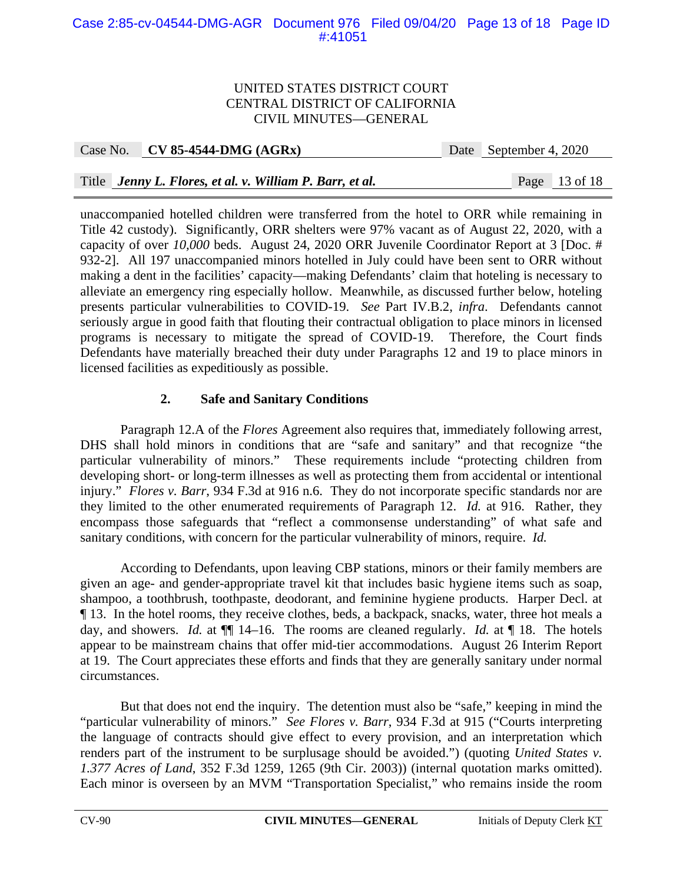# Case 2:85-cv-04544-DMG-AGR Document 976 Filed 09/04/20 Page 13 of 18 Page ID #:41051

### UNITED STATES DISTRICT COURT CENTRAL DISTRICT OF CALIFORNIA CIVIL MINUTES—GENERAL

Case No. **CV 85-4544-DMG (AGRx)** Date September 4, 2020

# Title *Jenny L. Flores, et al. v. William P. Barr, et al.* Page 13 of 18

unaccompanied hotelled children were transferred from the hotel to ORR while remaining in Title 42 custody). Significantly, ORR shelters were 97% vacant as of August 22, 2020, with a capacity of over *10,000* beds. August 24, 2020 ORR Juvenile Coordinator Report at 3 [Doc. # 932-2]. All 197 unaccompanied minors hotelled in July could have been sent to ORR without making a dent in the facilities' capacity—making Defendants' claim that hoteling is necessary to alleviate an emergency ring especially hollow. Meanwhile, as discussed further below, hoteling presents particular vulnerabilities to COVID-19. *See* Part IV.B.2, *infra*. Defendants cannot seriously argue in good faith that flouting their contractual obligation to place minors in licensed programs is necessary to mitigate the spread of COVID-19. Therefore, the Court finds Defendants have materially breached their duty under Paragraphs 12 and 19 to place minors in licensed facilities as expeditiously as possible.

# **2. Safe and Sanitary Conditions**

Paragraph 12.A of the *Flores* Agreement also requires that, immediately following arrest, DHS shall hold minors in conditions that are "safe and sanitary" and that recognize "the particular vulnerability of minors." These requirements include "protecting children from developing short- or long-term illnesses as well as protecting them from accidental or intentional injury." *Flores v. Barr*, 934 F.3d at 916 n.6. They do not incorporate specific standards nor are they limited to the other enumerated requirements of Paragraph 12. *Id.* at 916. Rather, they encompass those safeguards that "reflect a commonsense understanding" of what safe and sanitary conditions, with concern for the particular vulnerability of minors, require. *Id.* 

According to Defendants, upon leaving CBP stations, minors or their family members are given an age- and gender-appropriate travel kit that includes basic hygiene items such as soap, shampoo, a toothbrush, toothpaste, deodorant, and feminine hygiene products. Harper Decl. at ¶ 13. In the hotel rooms, they receive clothes, beds, a backpack, snacks, water, three hot meals a day, and showers. *Id.* at ¶¶ 14–16. The rooms are cleaned regularly. *Id.* at ¶ 18. The hotels appear to be mainstream chains that offer mid-tier accommodations. August 26 Interim Report at 19. The Court appreciates these efforts and finds that they are generally sanitary under normal circumstances.

But that does not end the inquiry. The detention must also be "safe," keeping in mind the "particular vulnerability of minors." *See Flores v. Barr*, 934 F.3d at 915 ("Courts interpreting the language of contracts should give effect to every provision, and an interpretation which renders part of the instrument to be surplusage should be avoided.") (quoting *United States v. 1.377 Acres of Land*, 352 F.3d 1259, 1265 (9th Cir. 2003)) (internal quotation marks omitted). Each minor is overseen by an MVM "Transportation Specialist," who remains inside the room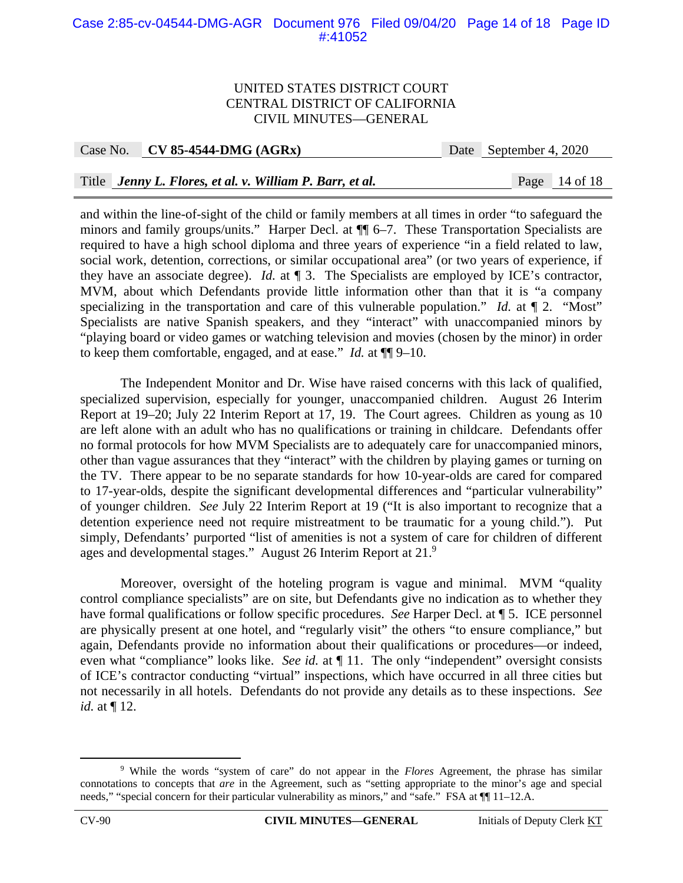### Case 2:85-cv-04544-DMG-AGR Document 976 Filed 09/04/20 Page 14 of 18 Page ID #:41052

#### UNITED STATES DISTRICT COURT CENTRAL DISTRICT OF CALIFORNIA CIVIL MINUTES—GENERAL

Case No. **CV 85-4544-DMG (AGRx)** Date September 4, 2020

### Title *Jenny L. Flores, et al. v. William P. Barr, et al.* Page 14 of 18

and within the line-of-sight of the child or family members at all times in order "to safeguard the minors and family groups/units." Harper Decl. at ¶¶ 6–7. These Transportation Specialists are required to have a high school diploma and three years of experience "in a field related to law, social work, detention, corrections, or similar occupational area" (or two years of experience, if they have an associate degree). *Id.* at ¶ 3. The Specialists are employed by ICE's contractor, MVM, about which Defendants provide little information other than that it is "a company specializing in the transportation and care of this vulnerable population." *Id.* at  $\P$  2. "Most" Specialists are native Spanish speakers, and they "interact" with unaccompanied minors by "playing board or video games or watching television and movies (chosen by the minor) in order to keep them comfortable, engaged, and at ease." *Id.* at ¶¶ 9–10.

The Independent Monitor and Dr. Wise have raised concerns with this lack of qualified, specialized supervision, especially for younger, unaccompanied children. August 26 Interim Report at 19–20; July 22 Interim Report at 17, 19. The Court agrees. Children as young as 10 are left alone with an adult who has no qualifications or training in childcare. Defendants offer no formal protocols for how MVM Specialists are to adequately care for unaccompanied minors, other than vague assurances that they "interact" with the children by playing games or turning on the TV. There appear to be no separate standards for how 10-year-olds are cared for compared to 17-year-olds, despite the significant developmental differences and "particular vulnerability" of younger children. *See* July 22 Interim Report at 19 ("It is also important to recognize that a detention experience need not require mistreatment to be traumatic for a young child."). Put simply, Defendants' purported "list of amenities is not a system of care for children of different ages and developmental stages." August 26 Interim Report at  $21.9$ 

Moreover, oversight of the hoteling program is vague and minimal. MVM "quality control compliance specialists" are on site, but Defendants give no indication as to whether they have formal qualifications or follow specific procedures. *See* Harper Decl. at ¶ 5. ICE personnel are physically present at one hotel, and "regularly visit" the others "to ensure compliance," but again, Defendants provide no information about their qualifications or procedures—or indeed, even what "compliance" looks like. *See id.* at ¶ 11. The only "independent" oversight consists of ICE's contractor conducting "virtual" inspections, which have occurred in all three cities but not necessarily in all hotels. Defendants do not provide any details as to these inspections. *See id.* at ¶ 12.

 $\frac{1}{9}$  While the words "system of care" do not appear in the *Flores* Agreement, the phrase has similar connotations to concepts that *are* in the Agreement, such as "setting appropriate to the minor's age and special needs," "special concern for their particular vulnerability as minors," and "safe." FSA at  $\P$ [11–12.A.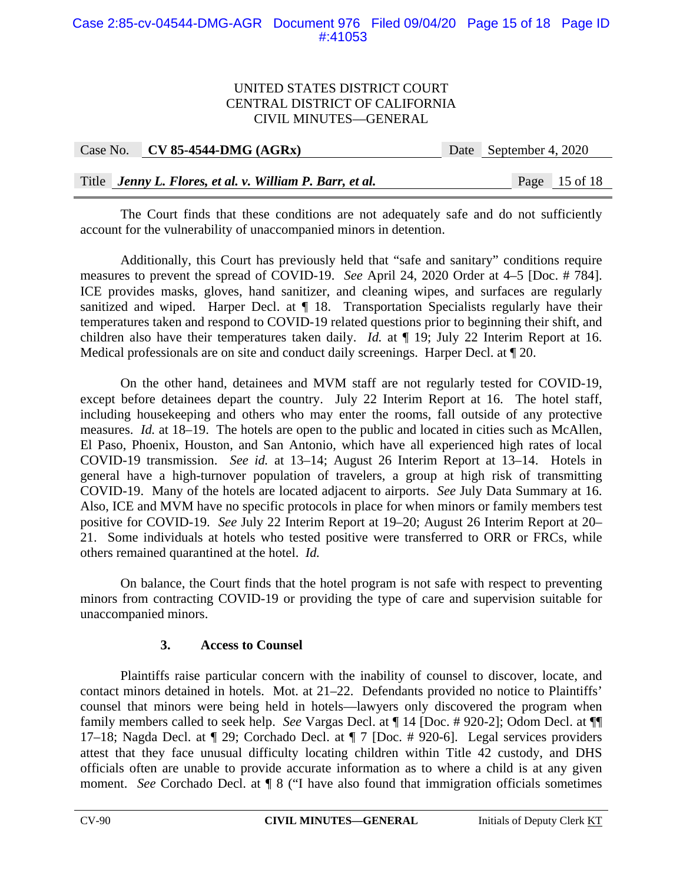### Case 2:85-cv-04544-DMG-AGR Document 976 Filed 09/04/20 Page 15 of 18 Page ID #:41053

### UNITED STATES DISTRICT COURT CENTRAL DISTRICT OF CALIFORNIA CIVIL MINUTES—GENERAL

| Case No. $\vert$ CV 85-4544-DMG (AGRx)                   | Date September 4, 2020 |  |
|----------------------------------------------------------|------------------------|--|
|                                                          |                        |  |
| Title Jenny L. Flores, et al. v. William P. Barr, et al. | Page $15$ of 18        |  |

The Court finds that these conditions are not adequately safe and do not sufficiently account for the vulnerability of unaccompanied minors in detention.

Additionally, this Court has previously held that "safe and sanitary" conditions require measures to prevent the spread of COVID-19. *See* April 24, 2020 Order at 4–5 [Doc. # 784]. ICE provides masks, gloves, hand sanitizer, and cleaning wipes, and surfaces are regularly sanitized and wiped. Harper Decl. at  $\P$  18. Transportation Specialists regularly have their temperatures taken and respond to COVID-19 related questions prior to beginning their shift, and children also have their temperatures taken daily. *Id.* at ¶ 19; July 22 Interim Report at 16. Medical professionals are on site and conduct daily screenings. Harper Decl. at ¶ 20.

On the other hand, detainees and MVM staff are not regularly tested for COVID-19, except before detainees depart the country. July 22 Interim Report at 16. The hotel staff, including housekeeping and others who may enter the rooms, fall outside of any protective measures. *Id.* at 18–19. The hotels are open to the public and located in cities such as McAllen, El Paso, Phoenix, Houston, and San Antonio, which have all experienced high rates of local COVID-19 transmission. *See id.* at 13–14; August 26 Interim Report at 13–14. Hotels in general have a high-turnover population of travelers, a group at high risk of transmitting COVID-19. Many of the hotels are located adjacent to airports. *See* July Data Summary at 16. Also, ICE and MVM have no specific protocols in place for when minors or family members test positive for COVID-19. *See* July 22 Interim Report at 19–20; August 26 Interim Report at 20– 21. Some individuals at hotels who tested positive were transferred to ORR or FRCs, while others remained quarantined at the hotel. *Id.* 

On balance, the Court finds that the hotel program is not safe with respect to preventing minors from contracting COVID-19 or providing the type of care and supervision suitable for unaccompanied minors.

# **3. Access to Counsel**

Plaintiffs raise particular concern with the inability of counsel to discover, locate, and contact minors detained in hotels. Mot. at 21–22. Defendants provided no notice to Plaintiffs' counsel that minors were being held in hotels—lawyers only discovered the program when family members called to seek help. *See* Vargas Decl. at ¶ 14 [Doc. # 920-2]; Odom Decl. at ¶¶ 17–18; Nagda Decl. at ¶ 29; Corchado Decl. at ¶ 7 [Doc. # 920-6]. Legal services providers attest that they face unusual difficulty locating children within Title 42 custody, and DHS officials often are unable to provide accurate information as to where a child is at any given moment. *See* Corchado Decl. at ¶ 8 ("I have also found that immigration officials sometimes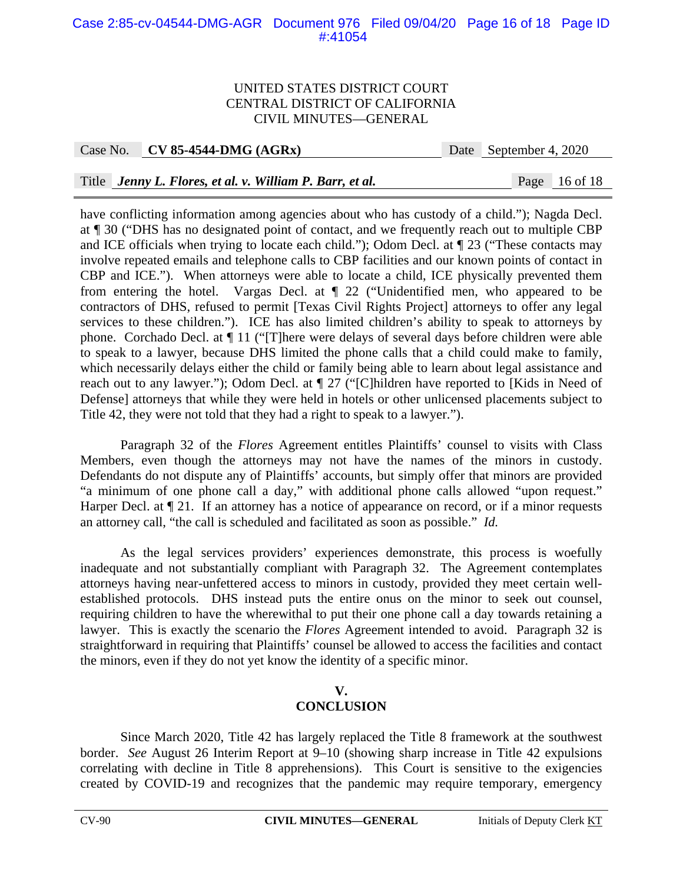### Case 2:85-cv-04544-DMG-AGR Document 976 Filed 09/04/20 Page 16 of 18 Page ID #:41054

#### UNITED STATES DISTRICT COURT CENTRAL DISTRICT OF CALIFORNIA CIVIL MINUTES—GENERAL

Case No. **CV 85-4544-DMG (AGRx)** Date September 4, 2020

# Title *Jenny L. Flores, et al. v. William P. Barr, et al.* Page 16 of 18

have conflicting information among agencies about who has custody of a child."); Nagda Decl. at ¶ 30 ("DHS has no designated point of contact, and we frequently reach out to multiple CBP and ICE officials when trying to locate each child."); Odom Decl. at ¶ 23 ("These contacts may involve repeated emails and telephone calls to CBP facilities and our known points of contact in CBP and ICE."). When attorneys were able to locate a child, ICE physically prevented them from entering the hotel. Vargas Decl. at ¶ 22 ("Unidentified men, who appeared to be contractors of DHS, refused to permit [Texas Civil Rights Project] attorneys to offer any legal services to these children."). ICE has also limited children's ability to speak to attorneys by phone. Corchado Decl. at ¶ 11 ("[T]here were delays of several days before children were able to speak to a lawyer, because DHS limited the phone calls that a child could make to family, which necessarily delays either the child or family being able to learn about legal assistance and reach out to any lawyer."); Odom Decl. at  $\P$  27 ("[C]hildren have reported to [Kids in Need of Defense] attorneys that while they were held in hotels or other unlicensed placements subject to Title 42, they were not told that they had a right to speak to a lawyer.").

Paragraph 32 of the *Flores* Agreement entitles Plaintiffs' counsel to visits with Class Members, even though the attorneys may not have the names of the minors in custody. Defendants do not dispute any of Plaintiffs' accounts, but simply offer that minors are provided "a minimum of one phone call a day," with additional phone calls allowed "upon request." Harper Decl. at  $\P$  21. If an attorney has a notice of appearance on record, or if a minor requests an attorney call, "the call is scheduled and facilitated as soon as possible." *Id.* 

As the legal services providers' experiences demonstrate, this process is woefully inadequate and not substantially compliant with Paragraph 32. The Agreement contemplates attorneys having near-unfettered access to minors in custody, provided they meet certain wellestablished protocols. DHS instead puts the entire onus on the minor to seek out counsel, requiring children to have the wherewithal to put their one phone call a day towards retaining a lawyer. This is exactly the scenario the *Flores* Agreement intended to avoid. Paragraph 32 is straightforward in requiring that Plaintiffs' counsel be allowed to access the facilities and contact the minors, even if they do not yet know the identity of a specific minor.

# **V. CONCLUSION**

 Since March 2020, Title 42 has largely replaced the Title 8 framework at the southwest border. *See* August 26 Interim Report at 9–10 (showing sharp increase in Title 42 expulsions correlating with decline in Title 8 apprehensions). This Court is sensitive to the exigencies created by COVID-19 and recognizes that the pandemic may require temporary, emergency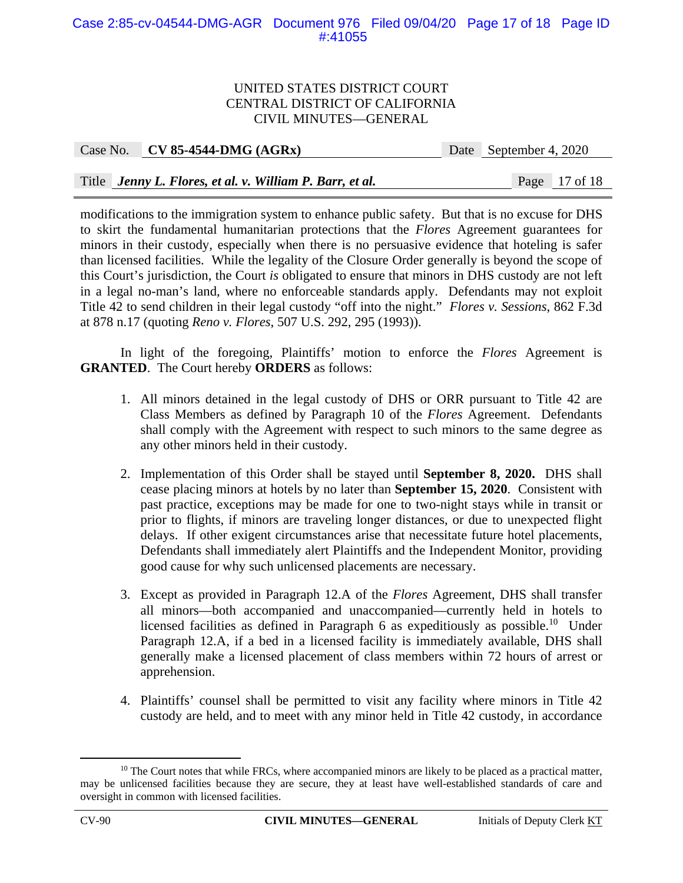### Case 2:85-cv-04544-DMG-AGR Document 976 Filed 09/04/20 Page 17 of 18 Page ID #:41055

#### UNITED STATES DISTRICT COURT CENTRAL DISTRICT OF CALIFORNIA CIVIL MINUTES—GENERAL

| Case No. CV 85-4544-DMG $(AGRx)$                         | Date September 4, 2020 |                 |
|----------------------------------------------------------|------------------------|-----------------|
|                                                          |                        |                 |
| Title Jenny L. Flores, et al. v. William P. Barr, et al. |                        | Page $17$ of 18 |

modifications to the immigration system to enhance public safety. But that is no excuse for DHS to skirt the fundamental humanitarian protections that the *Flores* Agreement guarantees for minors in their custody, especially when there is no persuasive evidence that hoteling is safer than licensed facilities. While the legality of the Closure Order generally is beyond the scope of this Court's jurisdiction, the Court *is* obligated to ensure that minors in DHS custody are not left in a legal no-man's land, where no enforceable standards apply. Defendants may not exploit Title 42 to send children in their legal custody "off into the night." *Flores v. Sessions*, 862 F.3d at 878 n.17 (quoting *Reno v. Flores*, 507 U.S. 292, 295 (1993)).

 In light of the foregoing, Plaintiffs' motion to enforce the *Flores* Agreement is **GRANTED**. The Court hereby **ORDERS** as follows:

- 1. All minors detained in the legal custody of DHS or ORR pursuant to Title 42 are Class Members as defined by Paragraph 10 of the *Flores* Agreement. Defendants shall comply with the Agreement with respect to such minors to the same degree as any other minors held in their custody.
- 2. Implementation of this Order shall be stayed until **September 8, 2020.** DHS shall cease placing minors at hotels by no later than **September 15, 2020**. Consistent with past practice, exceptions may be made for one to two-night stays while in transit or prior to flights, if minors are traveling longer distances, or due to unexpected flight delays. If other exigent circumstances arise that necessitate future hotel placements, Defendants shall immediately alert Plaintiffs and the Independent Monitor, providing good cause for why such unlicensed placements are necessary.
- 3. Except as provided in Paragraph 12.A of the *Flores* Agreement, DHS shall transfer all minors—both accompanied and unaccompanied—currently held in hotels to licensed facilities as defined in Paragraph  $6$  as expeditiously as possible.<sup>10</sup> Under Paragraph 12.A, if a bed in a licensed facility is immediately available, DHS shall generally make a licensed placement of class members within 72 hours of arrest or apprehension.
- 4. Plaintiffs' counsel shall be permitted to visit any facility where minors in Title 42 custody are held, and to meet with any minor held in Title 42 custody, in accordance

 $10$  The Court notes that while FRCs, where accompanied minors are likely to be placed as a practical matter, may be unlicensed facilities because they are secure, they at least have well-established standards of care and oversight in common with licensed facilities.